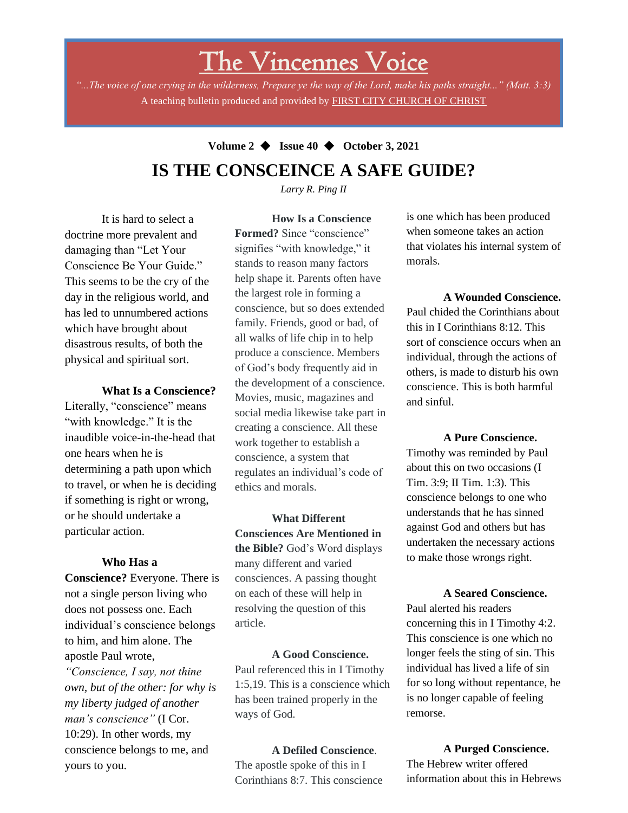# The Vincennes Voice

*"...The voice of one crying in the wilderness, Prepare ye the way of the Lord, make his paths straight..." (Matt. 3:3)* A teaching bulletin produced and provided by FIRST CITY CHURCH OF CHRIST

## **Volume 2** ◆ **Issue 40** ◆ **October 3, 2021 IS THE CONSCEINCE A SAFE GUIDE?**

*Larry R. Ping II*

It is hard to select a doctrine more prevalent and damaging than "Let Your Conscience Be Your Guide." This seems to be the cry of the day in the religious world, and has led to unnumbered actions which have brought about disastrous results, of both the physical and spiritual sort.

#### **What Is a Conscience?**

Literally, "conscience" means "with knowledge." It is the inaudible voice-in-the-head that one hears when he is determining a path upon which to travel, or when he is deciding if something is right or wrong, or he should undertake a particular action.

#### **Who Has a**

**Conscience?** Everyone. There is not a single person living who does not possess one. Each individual's conscience belongs to him, and him alone. The apostle Paul wrote,

my liberty judged of another *"Conscience, I say, not thine own, but of the other: for why is man's conscience"* (I Cor. 10:29). In other words, my conscience belongs to me, and yours to you.

**How Is a Conscience Formed?** Since "conscience" signifies "with knowledge," it stands to reason many factors help shape it. Parents often have the largest role in forming a conscience, but so does extended family. Friends, good or bad, of all walks of life chip in to help produce a conscience. Members of God's body frequently aid in the development of a conscience. Movies, music, magazines and social media likewise take part in creating a conscience. All these work together to establish a conscience, a system that regulates an individual's code of ethics and morals.

**What Different Consciences Are Mentioned in the Bible?** God's Word displays many different and varied consciences. A passing thought on each of these will help in resolving the question of this article.

**A Good Conscience.** Paul referenced this in I Timothy 1:5,19. This is a conscience which has been trained properly in the ways of God.

#### **A Defiled Conscience**.

The apostle spoke of this in I Corinthians 8:7. This conscience is one which has been produced when someone takes an action that violates his internal system of morals.

#### **A Wounded Conscience.**

Paul chided the Corinthians about this in I Corinthians 8:12. This sort of conscience occurs when an individual, through the actions of others, is made to disturb his own conscience. This is both harmful and sinful.

**A Pure Conscience.** Timothy was reminded by Paul about this on two occasions (I Tim. 3:9; II Tim. 1:3). This conscience belongs to one who understands that he has sinned against God and others but has undertaken the necessary actions

to make those wrongs right.

**A Seared Conscience.** Paul alerted his readers concerning this in I Timothy 4:2. This conscience is one which no longer feels the sting of sin. This individual has lived a life of sin for so long without repentance, he is no longer capable of feeling remorse.

#### **A Purged Conscience.**

The Hebrew writer offered information about this in Hebrews